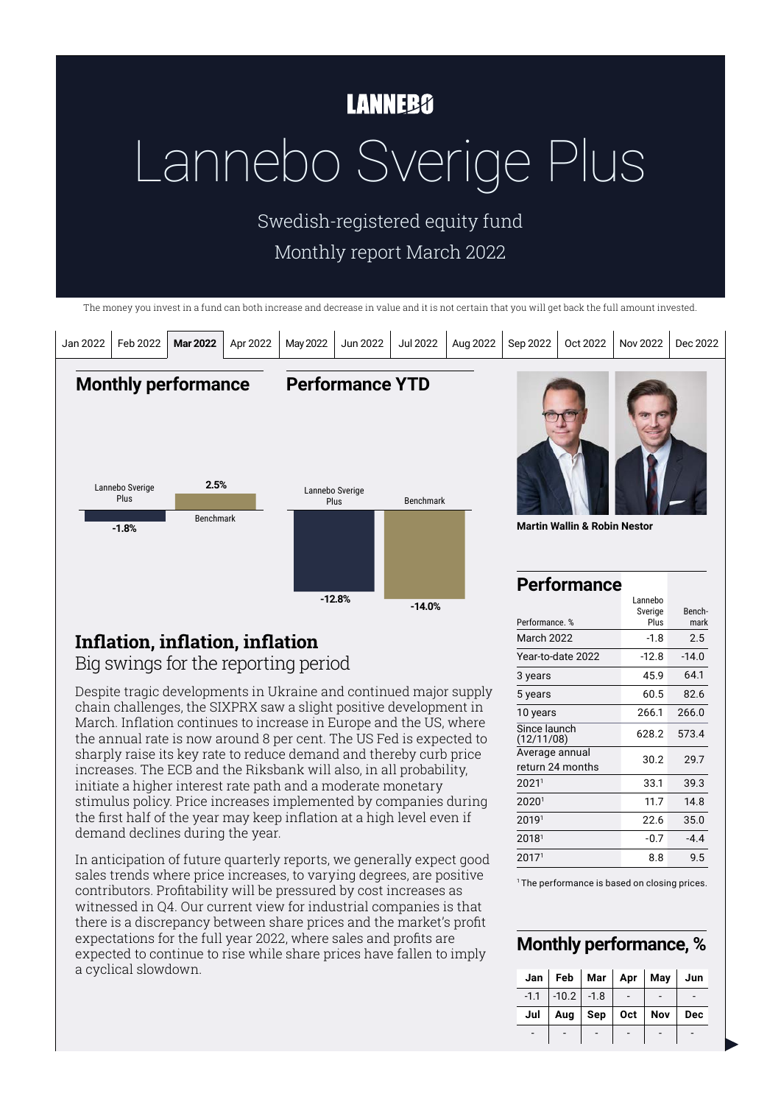# **LANNEBO**

# Lannebo Sverige Plus

Swedish-registered equity fund Monthly report March 2022

The money you invest in a fund can both increase and decrease in value and it is not certain that you will get back the full amount invested.



## **Inflation, inflation, inflation**

Big swings for the reporting period

Despite tragic developments in Ukraine and continued major supply chain challenges, the SIXPRX saw a slight positive development in March. Inflation continues to increase in Europe and the US, where the annual rate is now around 8 per cent. The US Fed is expected to sharply raise its key rate to reduce demand and thereby curb price increases. The ECB and the Riksbank will also, in all probability, initiate a higher interest rate path and a moderate monetary stimulus policy. Price increases implemented by companies during the first half of the year may keep inflation at a high level even if demand declines during the year.

In anticipation of future quarterly reports, we generally expect good sales trends where price increases, to varying degrees, are positive contributors. Profitability will be pressured by cost increases as witnessed in Q4. Our current view for industrial companies is that there is a discrepancy between share prices and the market's profit expectations for the full year 2022, where sales and profits are expected to continue to rise while share prices have fallen to imply a cyclical slowdown.

Performance. % Plus mark **March 2022** Year-to-date 2022 3 years 5 years 10 years Since launch (12/11/08) Average annual return 24 months 20211 33.1 39.3 20201 11.7 14.8 20191 22.6 35.0  $2018<sup>1</sup>$  -0.7 -4.4 20171 8.8 9.5  $-1.8$ -12.8 45.9 60.5 266.1 628.2 30.2 2.5  $-14.0$ 64.1 82.6 266.0 573.4 29.7

<sup>1</sup> The performance is based on closing prices.

#### **Monthly performance, %**

|     | Jan   Feb   Mar   Apr   May   Jun |                                     |     |     |
|-----|-----------------------------------|-------------------------------------|-----|-----|
|     | $-1.1$ $-10.2$ $-1.8$             |                                     |     |     |
| Jul |                                   | Aug $\vert$ Sep $\vert$ Oct $\vert$ | Nov | Dec |
|     |                                   |                                     |     |     |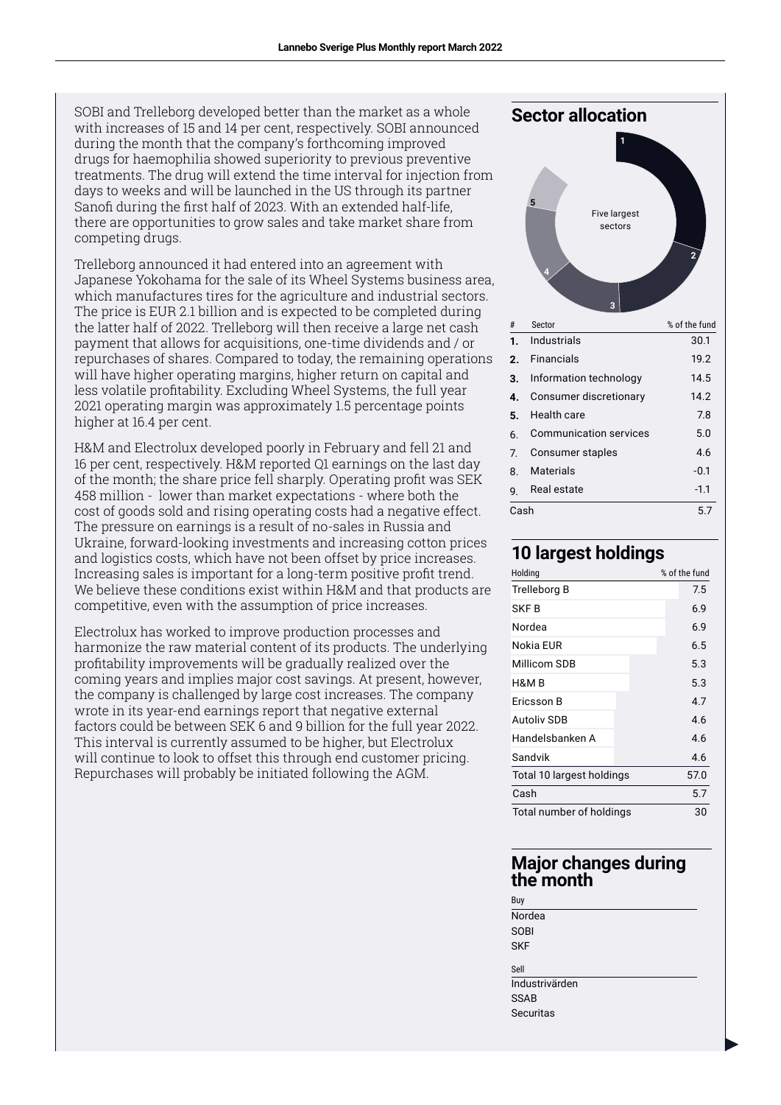SOBI and Trelleborg developed better than the market as a whole with increases of 15 and 14 per cent, respectively. SOBI announced during the month that the company's forthcoming improved drugs for haemophilia showed superiority to previous preventive treatments. The drug will extend the time interval for injection from days to weeks and will be launched in the US through its partner Sanofi during the first half of 2023. With an extended half-life, there are opportunities to grow sales and take market share from competing drugs.

Trelleborg announced it had entered into an agreement with Japanese Yokohama for the sale of its Wheel Systems business area, which manufactures tires for the agriculture and industrial sectors. The price is EUR 2.1 billion and is expected to be completed during the latter half of 2022. Trelleborg will then receive a large net cash payment that allows for acquisitions, one-time dividends and / or repurchases of shares. Compared to today, the remaining operations will have higher operating margins, higher return on capital and less volatile profitability. Excluding Wheel Systems, the full year 2021 operating margin was approximately 1.5 percentage points higher at 16.4 per cent.

H&M and Electrolux developed poorly in February and fell 21 and 16 per cent, respectively. H&M reported Q1 earnings on the last day of the month; the share price fell sharply. Operating profit was SEK 458 million - lower than market expectations - where both the cost of goods sold and rising operating costs had a negative effect. The pressure on earnings is a result of no-sales in Russia and Ukraine, forward-looking investments and increasing cotton prices and logistics costs, which have not been offset by price increases. Increasing sales is important for a long-term positive profit trend. We believe these conditions exist within H&M and that products are competitive, even with the assumption of price increases.

Electrolux has worked to improve production processes and harmonize the raw material content of its products. The underlying profitability improvements will be gradually realized over the coming years and implies major cost savings. At present, however, the company is challenged by large cost increases. The company wrote in its year-end earnings report that negative external factors could be between SEK 6 and 9 billion for the full year 2022. This interval is currently assumed to be higher, but Electrolux will continue to look to offset this through end customer pricing. Repurchases will probably be initiated following the AGM.



2

#### **10 largest holdings**

| Holding                   | % of the fund |
|---------------------------|---------------|
| Trelleborg B              | 7.5           |
| SKF B                     | 6.9           |
| Nordea                    | 6.9           |
| Nokia EUR                 | 6.5           |
| Millicom SDB              | 5.3           |
| H&M B                     | 5.3           |
| Fricsson B                | 4.7           |
| <b>Autoliv SDB</b>        | 4.6           |
| Handelsbanken A           | 4.6           |
| Sandvik                   | 4.6           |
| Total 10 largest holdings | 57.0          |
| Cash                      | 5.7           |
| Total number of holdings  | 30            |

#### **Major changes during the month**

Nordea **SOBI SKF Industrivärden** SSAB Securitas

Buy

Sell